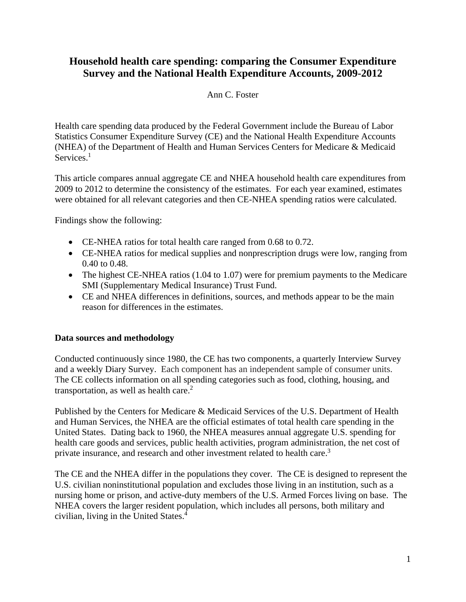# **Household health care spending: comparing the Consumer Expenditure Survey and the National Health Expenditure Accounts, 2009-2012**

# Ann C. Foster

Health care spending data produced by the Federal Government include the Bureau of Labor Statistics Consumer Expenditure Survey (CE) and the National Health Expenditure Accounts (NHEA) of the Department of Health and Human Services Centers for Medicare & Medicaid Services.<sup>1</sup>

This article compares annual aggregate CE and NHEA household health care expenditures from 2009 to 2012 to determine the consistency of the estimates. For each year examined, estimates were obtained for all relevant categories and then CE-NHEA spending ratios were calculated.

Findings show the following:

- CE-NHEA ratios for total health care ranged from 0.68 to 0.72.
- CE-NHEA ratios for medical supplies and nonprescription drugs were low, ranging from 0.40 to 0.48.
- The highest CE-NHEA ratios (1.04 to 1.07) were for premium payments to the Medicare SMI (Supplementary Medical Insurance) Trust Fund.
- CE and NHEA differences in definitions, sources, and methods appear to be the main reason for differences in the estimates.

## **Data sources and methodology**

Conducted continuously since 1980, the CE has two components, a quarterly Interview Survey and a weekly Diary Survey. Each component has an independent sample of consumer units. The CE collects information on all spending categories such as food, clothing, housing, and transportation, as well as health care. $<sup>2</sup>$ </sup>

Published by the Centers for Medicare & Medicaid Services of the U.S. Department of Health and Human Services, the NHEA are the official estimates of total health care spending in the United States. Dating back to 1960, the NHEA measures annual aggregate U.S. spending for health care goods and services, public health activities, program administration, the net cost of private insurance, and research and other investment related to health care.<sup>3</sup>

The CE and the NHEA differ in the populations they cover. The CE is designed to represent the U.S. civilian noninstitutional population and excludes those living in an institution, such as a nursing home or prison, and active-duty members of the U.S. Armed Forces living on base. The NHEA covers the larger resident population, which includes all persons, both military and civilian, living in the United States.<sup>4</sup>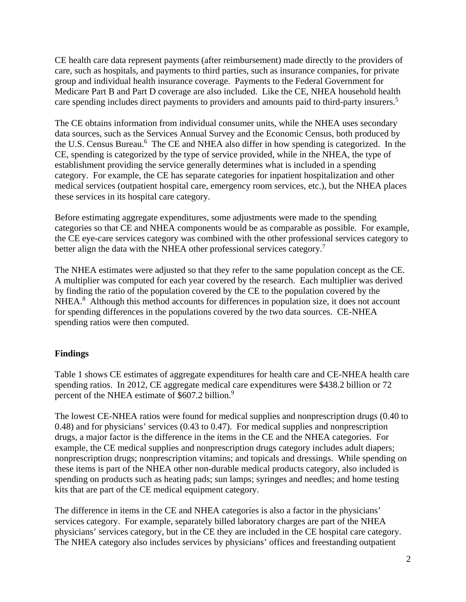CE health care data represent payments (after reimbursement) made directly to the providers of care, such as hospitals, and payments to third parties, such as insurance companies, for private group and individual health insurance coverage. Payments to the Federal Government for Medicare Part B and Part D coverage are also included. Like the CE, NHEA household health care spending includes direct payments to providers and amounts paid to third-party insurers.<sup>5</sup>

The CE obtains information from individual consumer units, while the NHEA uses secondary data sources, such as the Services Annual Survey and the Economic Census, both produced by the U.S. Census Bureau.<sup>6</sup> The CE and NHEA also differ in how spending is categorized. In the CE, spending is categorized by the type of service provided, while in the NHEA, the type of establishment providing the service generally determines what is included in a spending category. For example, the CE has separate categories for inpatient hospitalization and other medical services (outpatient hospital care, emergency room services, etc.), but the NHEA places these services in its hospital care category.

Before estimating aggregate expenditures, some adjustments were made to the spending categories so that CE and NHEA components would be as comparable as possible. For example, the CE eye-care services category was combined with the other professional services category to better align the data with the NHEA other professional services category.<sup>7</sup>

The NHEA estimates were adjusted so that they refer to the same population concept as the CE. A multiplier was computed for each year covered by the research. Each multiplier was derived by finding the ratio of the population covered by the CE to the population covered by the NHEA.<sup>8</sup> Although this method accounts for differences in population size, it does not account for spending differences in the populations covered by the two data sources. CE-NHEA spending ratios were then computed.

# **Findings**

Table 1 shows CE estimates of aggregate expenditures for health care and CE-NHEA health care spending ratios. In 2012, CE aggregate medical care expenditures were \$438.2 billion or 72 percent of the NHEA estimate of \$607.2 billion.<sup>9</sup>

The lowest CE-NHEA ratios were found for medical supplies and nonprescription drugs (0.40 to 0.48) and for physicians' services (0.43 to 0.47). For medical supplies and nonprescription drugs, a major factor is the difference in the items in the CE and the NHEA categories. For example, the CE medical supplies and nonprescription drugs category includes adult diapers; nonprescription drugs; nonprescription vitamins; and topicals and dressings. While spending on these items is part of the NHEA other non-durable medical products category, also included is spending on products such as heating pads; sun lamps; syringes and needles; and home testing kits that are part of the CE medical equipment category.

The difference in items in the CE and NHEA categories is also a factor in the physicians' services category. For example, separately billed laboratory charges are part of the NHEA physicians' services category, but in the CE they are included in the CE hospital care category. The NHEA category also includes services by physicians' offices and freestanding outpatient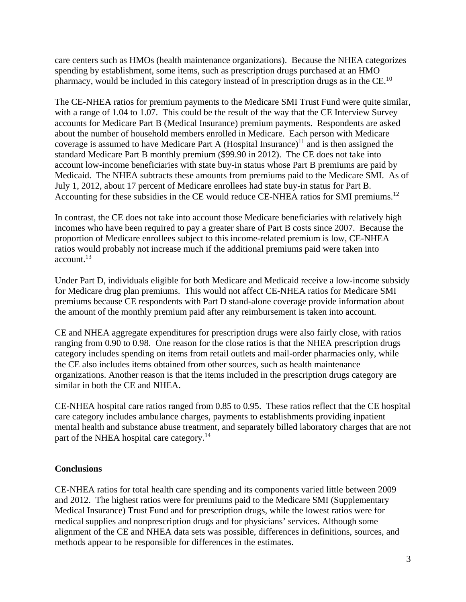care centers such as HMOs (health maintenance organizations). Because the NHEA categorizes spending by establishment, some items, such as prescription drugs purchased at an HMO pharmacy, would be included in this category instead of in prescription drugs as in the CE.<sup>10</sup>

The CE-NHEA ratios for premium payments to the Medicare SMI Trust Fund were quite similar, with a range of 1.04 to 1.07. This could be the result of the way that the CE Interview Survey accounts for Medicare Part B (Medical Insurance) premium payments. Respondents are asked about the number of household members enrolled in Medicare. Each person with Medicare coverage is assumed to have Medicare Part A (Hospital Insurance)<sup>11</sup> and is then assigned the standard Medicare Part B monthly premium (\$99.90 in 2012). The CE does not take into account low-income beneficiaries with state buy-in status whose Part B premiums are paid by Medicaid. The NHEA subtracts these amounts from premiums paid to the Medicare SMI. As of July 1, 2012, about 17 percent of Medicare enrollees had state buy-in status for Part B. Accounting for these subsidies in the CE would reduce CE-NHEA ratios for SMI premiums.<sup>12</sup>

In contrast, the CE does not take into account those Medicare beneficiaries with relatively high incomes who have been required to pay a greater share of Part B costs since 2007. Because the proportion of Medicare enrollees subject to this income-related premium is low, CE-NHEA ratios would probably not increase much if the additional premiums paid were taken into  $\arccos 13$ 

Under Part D, individuals eligible for both Medicare and Medicaid receive a low-income subsidy for Medicare drug plan premiums. This would not affect CE-NHEA ratios for Medicare SMI premiums because CE respondents with Part D stand-alone coverage provide information about the amount of the monthly premium paid after any reimbursement is taken into account.

CE and NHEA aggregate expenditures for prescription drugs were also fairly close, with ratios ranging from 0.90 to 0.98. One reason for the close ratios is that the NHEA prescription drugs category includes spending on items from retail outlets and mail-order pharmacies only, while the CE also includes items obtained from other sources, such as health maintenance organizations. Another reason is that the items included in the prescription drugs category are similar in both the CE and NHEA.

CE-NHEA hospital care ratios ranged from 0.85 to 0.95. These ratios reflect that the CE hospital care category includes ambulance charges, payments to establishments providing inpatient mental health and substance abuse treatment, and separately billed laboratory charges that are not part of the NHEA hospital care category.<sup>14</sup>

## **Conclusions**

CE-NHEA ratios for total health care spending and its components varied little between 2009 and 2012. The highest ratios were for premiums paid to the Medicare SMI (Supplementary Medical Insurance) Trust Fund and for prescription drugs, while the lowest ratios were for medical supplies and nonprescription drugs and for physicians' services. Although some alignment of the CE and NHEA data sets was possible, differences in definitions, sources, and methods appear to be responsible for differences in the estimates.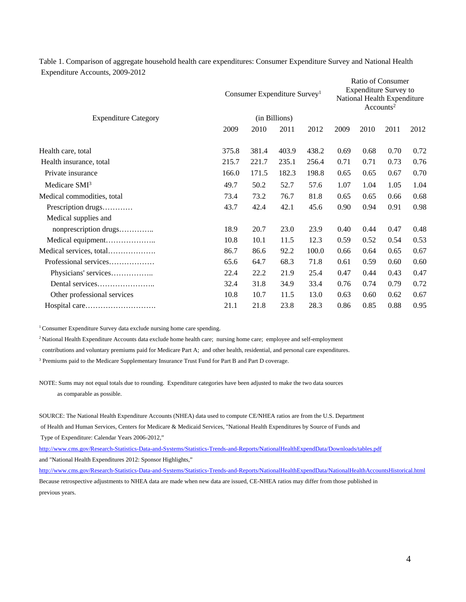Table 1. Comparison of aggregate household health care expenditures: Consumer Expenditure Survey and National Health Expenditure Accounts, 2009-2012

|                             | Consumer Expenditure Survey <sup>1</sup><br>(in Billions) |       |       |       | Ratio of Consumer<br><b>Expenditure Survey to</b><br>National Health Expenditure<br>Accounts <sup>2</sup> |      |      |      |
|-----------------------------|-----------------------------------------------------------|-------|-------|-------|-----------------------------------------------------------------------------------------------------------|------|------|------|
| <b>Expenditure Category</b> |                                                           |       |       |       |                                                                                                           |      |      |      |
|                             | 2009                                                      | 2010  | 2011  | 2012  | 2009                                                                                                      | 2010 | 2011 | 2012 |
| Health care, total          | 375.8                                                     | 381.4 | 403.9 | 438.2 | 0.69                                                                                                      | 0.68 | 0.70 | 0.72 |
| Health insurance, total     | 215.7                                                     | 221.7 | 235.1 | 256.4 | 0.71                                                                                                      | 0.71 | 0.73 | 0.76 |
| Private insurance           | 166.0                                                     | 171.5 | 182.3 | 198.8 | 0.65                                                                                                      | 0.65 | 0.67 | 0.70 |
| Medicare SMI <sup>3</sup>   | 49.7                                                      | 50.2  | 52.7  | 57.6  | 1.07                                                                                                      | 1.04 | 1.05 | 1.04 |
| Medical commodities, total  | 73.4                                                      | 73.2  | 76.7  | 81.8  | 0.65                                                                                                      | 0.65 | 0.66 | 0.68 |
| Prescription drugs          | 43.7                                                      | 42.4  | 42.1  | 45.6  | 0.90                                                                                                      | 0.94 | 0.91 | 0.98 |
| Medical supplies and        |                                                           |       |       |       |                                                                                                           |      |      |      |
| nonprescription drugs       | 18.9                                                      | 20.7  | 23.0  | 23.9  | 0.40                                                                                                      | 0.44 | 0.47 | 0.48 |
| Medical equipment           | 10.8                                                      | 10.1  | 11.5  | 12.3  | 0.59                                                                                                      | 0.52 | 0.54 | 0.53 |
| Medical services, total     | 86.7                                                      | 86.6  | 92.2  | 100.0 | 0.66                                                                                                      | 0.64 | 0.65 | 0.67 |
| Professional services       | 65.6                                                      | 64.7  | 68.3  | 71.8  | 0.61                                                                                                      | 0.59 | 0.60 | 0.60 |
| Physicians' services        | 22.4                                                      | 22.2  | 21.9  | 25.4  | 0.47                                                                                                      | 0.44 | 0.43 | 0.47 |
|                             | 32.4                                                      | 31.8  | 34.9  | 33.4  | 0.76                                                                                                      | 0.74 | 0.79 | 0.72 |
| Other professional services | 10.8                                                      | 10.7  | 11.5  | 13.0  | 0.63                                                                                                      | 0.60 | 0.62 | 0.67 |
|                             | 21.1                                                      | 21.8  | 23.8  | 28.3  | 0.86                                                                                                      | 0.85 | 0.88 | 0.95 |

<sup>1</sup> Consumer Expenditure Survey data exclude nursing home care spending.

<sup>2</sup> National Health Expenditure Accounts data exclude home health care; nursing home care; employee and self-employment

contributions and voluntary premiums paid for Medicare Part A; and other health, residential, and personal care expenditures.

<sup>3</sup> Premiums paid to the Medicare Supplementary Insurance Trust Fund for Part B and Part D coverage.

NOTE: Sums may not equal totals due to rounding. Expenditure categories have been adjusted to make the two data sources as comparable as possible.

SOURCE: The National Health Expenditure Accounts (NHEA) data used to compute CE/NHEA ratios are from the U.S. Department of Health and Human Services, Centers for Medicare & Medicaid Services, "National Health Expenditures by Source of Funds and Type of Expenditure: Calendar Years 2006-2012,"

http://www.cms.gov/Research-Statistics-Data-and-Systems/Statistics-Trends-and-Reports/NationalHealthExpendData/Downloads/tables.pdf and "National Health Expenditures 2012: Sponsor Highlights,"

http://www.cms.gov/Research-Statistics-Data-and-Systems/Statistics-Trends-and-Reports/NationalHealthExpendData/NationalHealthAccountsHistorical.html Because retrospective adjustments to NHEA data are made when new data are issued, CE-NHEA ratios may differ from those published in previous years.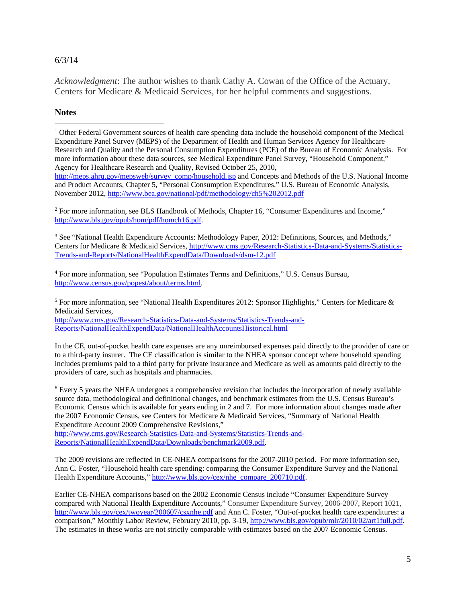#### 6/3/14

*Acknowledgment*: The author wishes to thank Cathy A. Cowan of the Office of the Actuary, Centers for Medicare & Medicaid Services, for her helpful comments and suggestions.

### **Notes**

 $\overline{a}$ 

<sup>2</sup> For more information, see BLS Handbook of Methods, Chapter 16, "Consumer Expenditures and Income," http://www.bls.gov/opub/hom/pdf/homch16.pdf.

<sup>3</sup> See "National Health Expenditure Accounts: Methodology Paper, 2012: Definitions, Sources, and Methods," Centers for Medicare & Medicaid Services, http://www.cms.gov/Research-Statistics-Data-and-Systems/Statistics-Trends-and-Reports/NationalHealthExpendData/Downloads/dsm-12.pdf

4 For more information, see "Population Estimates Terms and Definitions," U.S. Census Bureau, http://www.census.gov/popest/about/terms.html.

<sup>5</sup> For more information, see "National Health Expenditures 2012: Sponsor Highlights," Centers for Medicare & Medicaid Services, http://www.cms.gov/Research-Statistics-Data-and-Systems/Statistics-Trends-and-Reports/NationalHealthExpendData/NationalHealthAccountsHistorical.html

In the CE, out-of-pocket health care expenses are any unreimbursed expenses paid directly to the provider of care or to a third-party insurer. The CE classification is similar to the NHEA sponsor concept where household spending includes premiums paid to a third party for private insurance and Medicare as well as amounts paid directly to the providers of care, such as hospitals and pharmacies.

<sup>6</sup> Every 5 years the NHEA undergoes a comprehensive revision that includes the incorporation of newly available source data, methodological and definitional changes, and benchmark estimates from the U.S. Census Bureau's Economic Census which is available for years ending in 2 and 7. For more information about changes made after the 2007 Economic Census, see Centers for Medicare & Medicaid Services, "Summary of National Health Expenditure Account 2009 Comprehensive Revisions,"

http://www.cms.gov/Research-Statistics-Data-and-Systems/Statistics-Trends-and-Reports/NationalHealthExpendData/Downloads/benchmark2009.pdf.

The 2009 revisions are reflected in CE-NHEA comparisons for the 2007-2010 period. For more information see, Ann C. Foster, "Household health care spending: comparing the Consumer Expenditure Survey and the National Health Expenditure Accounts," http://www.bls.gov/cex/nhe\_compare\_200710.pdf.

Earlier CE-NHEA comparisons based on the 2002 Economic Census include "Consumer Expenditure Survey compared with National Health Expenditure Accounts," Consumer Expenditure Survey, 2006-2007, Report 1021, http://www.bls.gov/cex/twoyear/200607/csxnhe.pdf and Ann C. Foster, "Out-of-pocket health care expenditures: a comparison," Monthly Labor Review, February 2010, pp. 3-19, http://www.bls.gov/opub/mlr/2010/02/art1full.pdf. The estimates in these works are not strictly comparable with estimates based on the 2007 Economic Census.

<sup>&</sup>lt;sup>1</sup> Other Federal Government sources of health care spending data include the household component of the Medical Expenditure Panel Survey (MEPS) of the Department of Health and Human Services Agency for Healthcare Research and Quality and the Personal Consumption Expenditures (PCE) of the Bureau of Economic Analysis. For more information about these data sources, see Medical Expenditure Panel Survey, "Household Component," Agency for Healthcare Research and Quality, Revised October 25, 2010, http://meps.ahrq.gov/mepsweb/survey\_comp/household.jsp and Concepts and Methods of the U.S. National Income and Product Accounts, Chapter 5, "Personal Consumption Expenditures," U.S. Bureau of Economic Analysis, November 2012, http://www.bea.gov/national/pdf/methodology/ch5%202012.pdf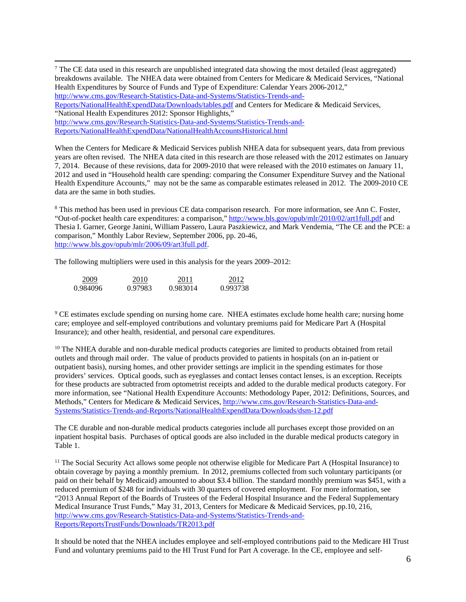$\frac{1}{7}$  $^7$  The CE data used in this research are unpublished integrated data showing the most detailed (least aggregated) breakdowns available. The NHEA data were obtained from Centers for Medicare & Medicaid Services, "National Health Expenditures by Source of Funds and Type of Expenditure: Calendar Years 2006-2012," http://www.cms.gov/Research-Statistics-Data-and-Systems/Statistics-Trends-and-Reports/NationalHealthExpendData/Downloads/tables.pdf and Centers for Medicare & Medicaid Services, "National Health Expenditures 2012: Sponsor Highlights," http://www.cms.gov/Research-Statistics-Data-and-Systems/Statistics-Trends-and-Reports/NationalHealthExpendData/NationalHealthAccountsHistorical.html

When the Centers for Medicare & Medicaid Services publish NHEA data for subsequent years, data from previous years are often revised. The NHEA data cited in this research are those released with the 2012 estimates on January 7, 2014. Because of these revisions, data for 2009-2010 that were released with the 2010 estimates on January 11, 2012 and used in "Household health care spending: comparing the Consumer Expenditure Survey and the National Health Expenditure Accounts," may not be the same as comparable estimates released in 2012. The 2009-2010 CE data are the same in both studies.

<sup>8</sup> This method has been used in previous CE data comparison research. For more information, see Ann C. Foster, "Out-of-pocket health care expenditures: a comparison," http://www.bls.gov/opub/mlr/2010/02/art1full.pdf and Thesia I. Garner, George Janini, William Passero, Laura Paszkiewicz, and Mark Vendemia, "The CE and the PCE: a comparison," Monthly Labor Review, September 2006, pp. 20-46, http://www.bls.gov/opub/mlr/2006/09/art3full.pdf.

The following multipliers were used in this analysis for the years 2009–2012:

| 2009.    | 2010    | 2011     | 2012     |
|----------|---------|----------|----------|
| 0.984096 | 0.97983 | 0.983014 | 0.993738 |

<sup>9</sup> CE estimates exclude spending on nursing home care. NHEA estimates exclude home health care; nursing home care; employee and self-employed contributions and voluntary premiums paid for Medicare Part A (Hospital Insurance); and other health, residential, and personal care expenditures.

<sup>10</sup> The NHEA durable and non-durable medical products categories are limited to products obtained from retail outlets and through mail order. The value of products provided to patients in hospitals (on an in-patient or outpatient basis), nursing homes, and other provider settings are implicit in the spending estimates for those providers' services. Optical goods, such as eyeglasses and contact lenses contact lenses, is an exception. Receipts for these products are subtracted from optometrist receipts and added to the durable medical products category. For more information, see "National Health Expenditure Accounts: Methodology Paper, 2012: Definitions, Sources, and Methods," Centers for Medicare & Medicaid Services, http://www.cms.gov/Research-Statistics-Data-and-Systems/Statistics-Trends-and-Reports/NationalHealthExpendData/Downloads/dsm-12.pdf

The CE durable and non-durable medical products categories include all purchases except those provided on an inpatient hospital basis. Purchases of optical goods are also included in the durable medical products category in Table 1.

<sup>11</sup> The Social Security Act allows some people not otherwise eligible for Medicare Part A (Hospital Insurance) to obtain coverage by paying a monthly premium. In 2012, premiums collected from such voluntary participants (or paid on their behalf by Medicaid) amounted to about \$3.4 billion. The standard monthly premium was \$451, with a reduced premium of \$248 for individuals with 30 quarters of covered employment. For more information, see "2013 Annual Report of the Boards of Trustees of the Federal Hospital Insurance and the Federal Supplementary Medical Insurance Trust Funds," May 31, 2013, Centers for Medicare & Medicaid Services, pp.10, 216, http://www.cms.gov/Research-Statistics-Data-and-Systems/Statistics-Trends-and-Reports/ReportsTrustFunds/Downloads/TR2013.pdf

It should be noted that the NHEA includes employee and self-employed contributions paid to the Medicare HI Trust Fund and voluntary premiums paid to the HI Trust Fund for Part A coverage. In the CE, employee and self